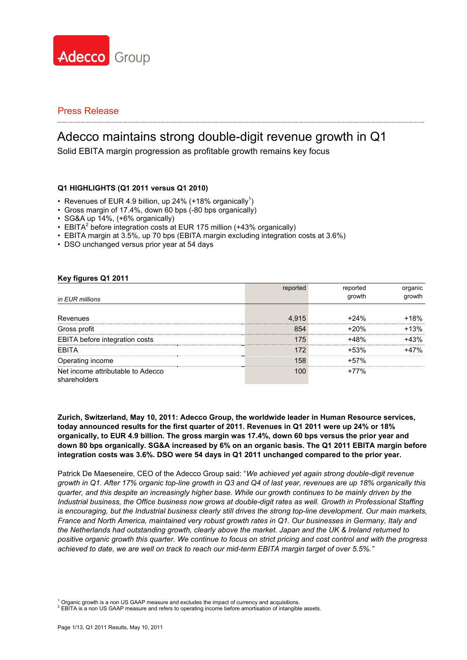

# Adecco maintains strong double-digit revenue growth in Q1

Solid EBITA margin progression as profitable growth remains key focus

### **Q1 HIGHLIGHTS (Q1 2011 versus Q1 2010)**

- Revenues of EUR 4.9 billion, up 24% (+18% organically<sup>1</sup>)
- Gross margin of 17.4%, down 60 bps (-80 bps organically)
- SG&A up 14%, (+6% organically)
- $\cdot$  EBITA<sup>2</sup> before integration costs at EUR 175 million (+43% organically)
- EBITA margin at 3.5%, up 70 bps (EBITA margin excluding integration costs at 3.6%)
- DSO unchanged versus prior year at 54 days

#### **Key figures Q1 2011**

| in EUR millions                                   |       | growth |        |
|---------------------------------------------------|-------|--------|--------|
|                                                   |       |        |        |
| Revenues                                          | 4.915 | +24%   |        |
| Gross profit                                      |       |        | $+13%$ |
| EBITA before integration costs                    |       |        |        |
| <b>EBITA</b>                                      |       | +53%   |        |
| Operating income                                  |       | +57%   |        |
| Net income attributable to Adecco<br>shareholders |       | '7%    |        |

**Zurich, Switzerland, May 10, 2011: Adecco Group, the worldwide leader in Human Resource services, today announced results for the first quarter of 2011. Revenues in Q1 2011 were up 24% or 18% organically, to EUR 4.9 billion. The gross margin was 17.4%, down 60 bps versus the prior year and down 80 bps organically. SG&A increased by 6% on an organic basis. The Q1 2011 EBITA margin before integration costs was 3.6%. DSO were 54 days in Q1 2011 unchanged compared to the prior year.** 

Patrick De Maeseneire, CEO of the Adecco Group said: "*We achieved yet again strong double-digit revenue growth in Q1. After 17% organic top-line growth in Q3 and Q4 of last year, revenues are up 18% organically this quarter, and this despite an increasingly higher base. While our growth continues to be mainly driven by the Industrial business, the Office business now grows at double-digit rates as well. Growth in Professional Staffing is encouraging, but the Industrial business clearly still drives the strong top-line development. Our main markets, France and North America, maintained very robust growth rates in Q1. Our businesses in Germany, Italy and the Netherlands had outstanding growth, clearly above the market. Japan and the UK & Ireland returned to positive organic growth this quarter. We continue to focus on strict pricing and cost control and with the progress achieved to date, we are well on track to reach our mid-term EBITA margin target of over 5.5%."* 

<sup>1</sup> Organic growth is a non US GAAP measure and excludes the impact of currency and acquisitions.

 $^2$  EBITA is a non US GAAP measure and refers to operating income before amortisation of intangible assets.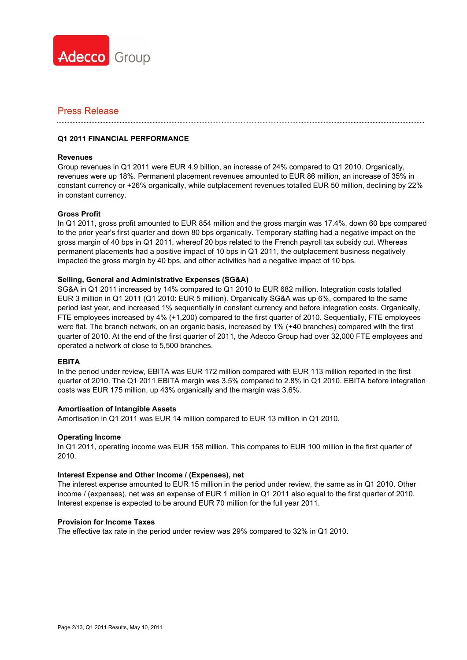

### **Q1 2011 FINANCIAL PERFORMANCE**

#### **Revenues**

Group revenues in Q1 2011 were EUR 4.9 billion, an increase of 24% compared to Q1 2010. Organically, revenues were up 18%. Permanent placement revenues amounted to EUR 86 million, an increase of 35% in constant currency or +26% organically, while outplacement revenues totalled EUR 50 million, declining by 22% in constant currency.

#### **Gross Profit**

In Q1 2011, gross profit amounted to EUR 854 million and the gross margin was 17.4%, down 60 bps compared to the prior year's first quarter and down 80 bps organically. Temporary staffing had a negative impact on the gross margin of 40 bps in Q1 2011, whereof 20 bps related to the French payroll tax subsidy cut. Whereas permanent placements had a positive impact of 10 bps in Q1 2011, the outplacement business negatively impacted the gross margin by 40 bps, and other activities had a negative impact of 10 bps.

### **Selling, General and Administrative Expenses (SG&A)**

SG&A in Q1 2011 increased by 14% compared to Q1 2010 to EUR 682 million. Integration costs totalled EUR 3 million in Q1 2011 (Q1 2010: EUR 5 million). Organically SG&A was up 6%, compared to the same period last year, and increased 1% sequentially in constant currency and before integration costs. Organically, FTE employees increased by 4% (+1,200) compared to the first quarter of 2010. Sequentially, FTE employees were flat. The branch network, on an organic basis, increased by 1% (+40 branches) compared with the first quarter of 2010. At the end of the first quarter of 2011, the Adecco Group had over 32,000 FTE employees and operated a network of close to 5,500 branches.

### **EBITA**

In the period under review, EBITA was EUR 172 million compared with EUR 113 million reported in the first quarter of 2010. The Q1 2011 EBITA margin was 3.5% compared to 2.8% in Q1 2010. EBITA before integration costs was EUR 175 million, up 43% organically and the margin was 3.6%.

#### **Amortisation of Intangible Assets**

Amortisation in Q1 2011 was EUR 14 million compared to EUR 13 million in Q1 2010.

#### **Operating Income**

In Q1 2011, operating income was EUR 158 million. This compares to EUR 100 million in the first quarter of 2010.

#### **Interest Expense and Other Income / (Expenses), net**

The interest expense amounted to EUR 15 million in the period under review, the same as in Q1 2010. Other income / (expenses), net was an expense of EUR 1 million in Q1 2011 also equal to the first quarter of 2010. Interest expense is expected to be around EUR 70 million for the full year 2011.

#### **Provision for Income Taxes**

The effective tax rate in the period under review was 29% compared to 32% in Q1 2010.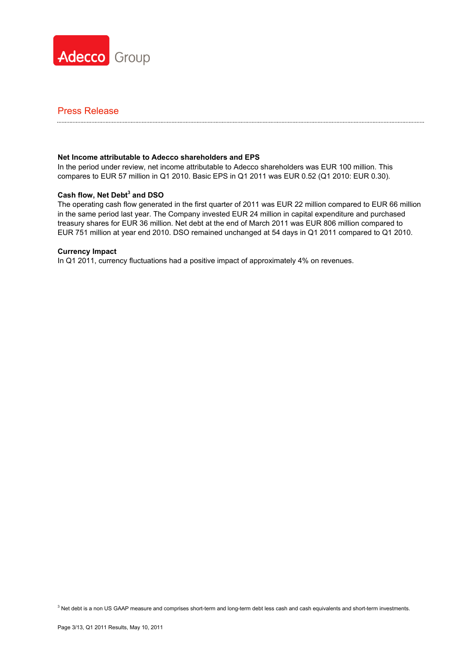

#### **Net Income attributable to Adecco shareholders and EPS**

In the period under review, net income attributable to Adecco shareholders was EUR 100 million. This compares to EUR 57 million in Q1 2010. Basic EPS in Q1 2011 was EUR 0.52 (Q1 2010: EUR 0.30).

### **Cash flow, Net Debt<sup>3</sup> and DSO**

The operating cash flow generated in the first quarter of 2011 was EUR 22 million compared to EUR 66 million in the same period last year. The Company invested EUR 24 million in capital expenditure and purchased treasury shares for EUR 36 million. Net debt at the end of March 2011 was EUR 806 million compared to EUR 751 million at year end 2010. DSO remained unchanged at 54 days in Q1 2011 compared to Q1 2010.

#### **Currency Impact**

In Q1 2011, currency fluctuations had a positive impact of approximately 4% on revenues.

<sup>3</sup> Net debt is a non US GAAP measure and comprises short-term and long-term debt less cash and cash equivalents and short-term investments.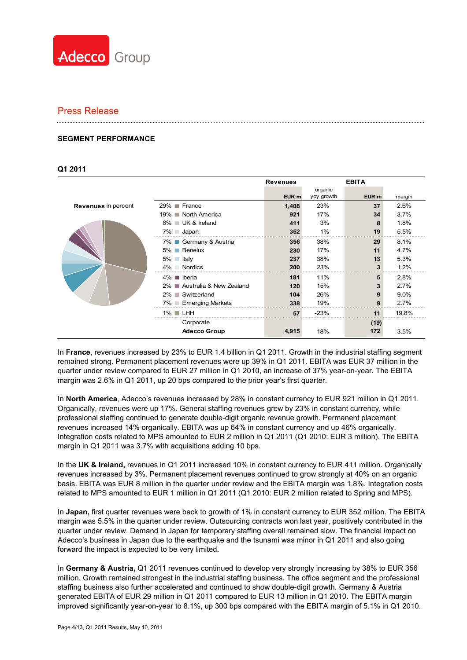

#### **SEGMENT PERFORMANCE**

#### **Q1 2011**

|                            |                                | <b>Revenues</b> |                       | <b>EBITA</b> |        |
|----------------------------|--------------------------------|-----------------|-----------------------|--------------|--------|
|                            |                                | EUR m           | organic<br>yoy growth | EUR m        | margin |
| <b>Revenues</b> in percent | $29\%$ France                  | 1,408           | 23%                   | 37           | 2.6%   |
|                            | 19% North America              | 921             | 17%                   | 34           | 3.7%   |
|                            | 8% ■ UK & Ireland              | 411             | 3%                    | 8            | 1.8%   |
|                            | $7\%$ Japan                    | 352             | $1\%$                 | 19           | 5.5%   |
|                            | 7% ■ Germany & Austria         | 356             | 38%                   | 29           | 8.1%   |
|                            | 5% Benelux                     | 230             | 17%                   | 11           | 4.7%   |
|                            | Italy<br>$5\%$ $\Box$          | 237             | 38%                   | 13           | 5.3%   |
|                            | $4\%$<br><b>Nordics</b>        | 200             | 23%                   | 3            | 1.2%   |
|                            | Iberia<br>$4\%$ $\blacksquare$ | 181             | 11%                   | 5            | 2.8%   |
|                            | 2% ■ Australia & New Zealand   | 120             | 15%                   | 3            | 2.7%   |
|                            | 2% Switzerland                 | 104             | 26%                   | 9            | 9.0%   |
|                            | 7% Emerging Markets            | 338             | 19%                   | 9            | 2.7%   |
|                            | $1\%$ $\Box$ LHH               | 57              | $-23%$                | 11           | 19.8%  |
|                            | Corporate                      |                 |                       | (19)         |        |
|                            | <b>Adecco Group</b>            | 4,915           | 18%                   | 172          | 3.5%   |

In **France**, revenues increased by 23% to EUR 1.4 billion in Q1 2011. Growth in the industrial staffing segment remained strong. Permanent placement revenues were up 39% in Q1 2011. EBITA was EUR 37 million in the quarter under review compared to EUR 27 million in Q1 2010, an increase of 37% year-on-year. The EBITA margin was 2.6% in Q1 2011, up 20 bps compared to the prior year's first quarter.

In **North America**, Adecco's revenues increased by 28% in constant currency to EUR 921 million in Q1 2011. Organically, revenues were up 17%. General staffing revenues grew by 23% in constant currency, while professional staffing continued to generate double-digit organic revenue growth. Permanent placement revenues increased 14% organically. EBITA was up 64% in constant currency and up 46% organically. Integration costs related to MPS amounted to EUR 2 million in Q1 2011 (Q1 2010: EUR 3 million). The EBITA margin in Q1 2011 was 3.7% with acquisitions adding 10 bps.

In the **UK & Ireland,** revenues in Q1 2011 increased 10% in constant currency to EUR 411 million. Organically revenues increased by 3%. Permanent placement revenues continued to grow strongly at 40% on an organic basis. EBITA was EUR 8 million in the quarter under review and the EBITA margin was 1.8%. Integration costs related to MPS amounted to EUR 1 million in Q1 2011 (Q1 2010: EUR 2 million related to Spring and MPS).

In **Japan,** first quarter revenues were back to growth of 1% in constant currency to EUR 352 million. The EBITA margin was 5.5% in the quarter under review. Outsourcing contracts won last year, positively contributed in the quarter under review. Demand in Japan for temporary staffing overall remained slow. The financial impact on Adecco's business in Japan due to the earthquake and the tsunami was minor in Q1 2011 and also going forward the impact is expected to be very limited.

In **Germany & Austria,** Q1 2011 revenues continued to develop very strongly increasing by 38% to EUR 356 million. Growth remained strongest in the industrial staffing business. The office segment and the professional staffing business also further accelerated and continued to show double-digit growth. Germany & Austria generated EBITA of EUR 29 million in Q1 2011 compared to EUR 13 million in Q1 2010. The EBITA margin improved significantly year-on-year to 8.1%, up 300 bps compared with the EBITA margin of 5.1% in Q1 2010.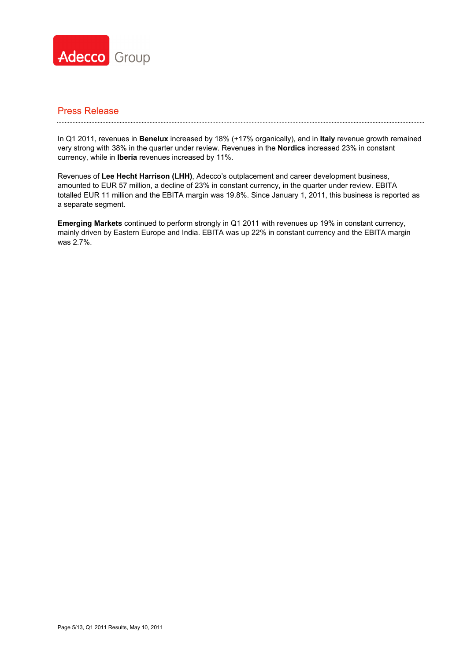

## Press Release

In Q1 2011, revenues in **Benelux** increased by 18% (+17% organically), and in **Italy** revenue growth remained very strong with 38% in the quarter under review. Revenues in the **Nordics** increased 23% in constant currency, while in **Iberia** revenues increased by 11%.

Revenues of **Lee Hecht Harrison (LHH)**, Adecco's outplacement and career development business, amounted to EUR 57 million, a decline of 23% in constant currency, in the quarter under review. EBITA totalled EUR 11 million and the EBITA margin was 19.8%. Since January 1, 2011, this business is reported as a separate segment.

**Emerging Markets** continued to perform strongly in Q1 2011 with revenues up 19% in constant currency, mainly driven by Eastern Europe and India. EBITA was up 22% in constant currency and the EBITA margin was 2.7%.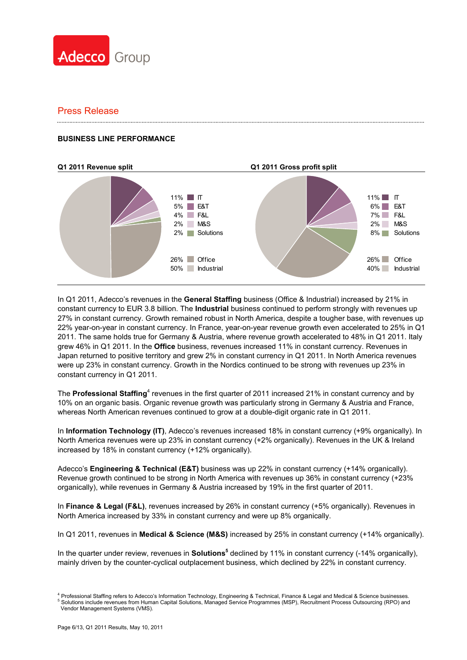

### **BUSINESS LINE PERFORMANCE**



In Q1 2011, Adecco's revenues in the **General Staffing** business (Office & Industrial) increased by 21% in constant currency to EUR 3.8 billion. The **Industrial** business continued to perform strongly with revenues up 27% in constant currency. Growth remained robust in North America, despite a tougher base, with revenues up 22% year-on-year in constant currency. In France, year-on-year revenue growth even accelerated to 25% in Q1 2011. The same holds true for Germany & Austria, where revenue growth accelerated to 48% in Q1 2011. Italy grew 46% in Q1 2011. In the **Office** business, revenues increased 11% in constant currency. Revenues in Japan returned to positive territory and grew 2% in constant currency in Q1 2011. In North America revenues were up 23% in constant currency. Growth in the Nordics continued to be strong with revenues up 23% in constant currency in Q1 2011.

The Professional Staffing<sup>4</sup> revenues in the first quarter of 2011 increased 21% in constant currency and by 10% on an organic basis. Organic revenue growth was particularly strong in Germany & Austria and France, whereas North American revenues continued to grow at a double-digit organic rate in Q1 2011.

In **Information Technology (IT)**, Adecco's revenues increased 18% in constant currency (+9% organically). In North America revenues were up 23% in constant currency (+2% organically). Revenues in the UK & Ireland increased by 18% in constant currency (+12% organically).

Adecco's **Engineering & Technical (E&T)** business was up 22% in constant currency (+14% organically). Revenue growth continued to be strong in North America with revenues up 36% in constant currency (+23% organically), while revenues in Germany & Austria increased by 19% in the first quarter of 2011.

In **Finance & Legal (F&L)**, revenues increased by 26% in constant currency (+5% organically). Revenues in North America increased by 33% in constant currency and were up 8% organically.

In Q1 2011, revenues in **Medical & Science (M&S)** increased by 25% in constant currency (+14% organically).

In the quarter under review, revenues in **Solutions<sup>5</sup>** declined by 11% in constant currency (-14% organically), mainly driven by the counter-cyclical outplacement business, which declined by 22% in constant currency.

<sup>&</sup>lt;sup>4</sup> Professional Staffing refers to Adecco's Information Technology, Engineering & Technical, Finance & Legal and Medical & Science businesses.<br><sup>5</sup> Selutions include revenues from Uuman Cepital Selutions, Managed Sentise P Solutions include revenues from Human Capital Solutions, Managed Service Programmes (MSP), Recruitment Process Outsourcing (RPO) and Vendor Management Systems (VMS).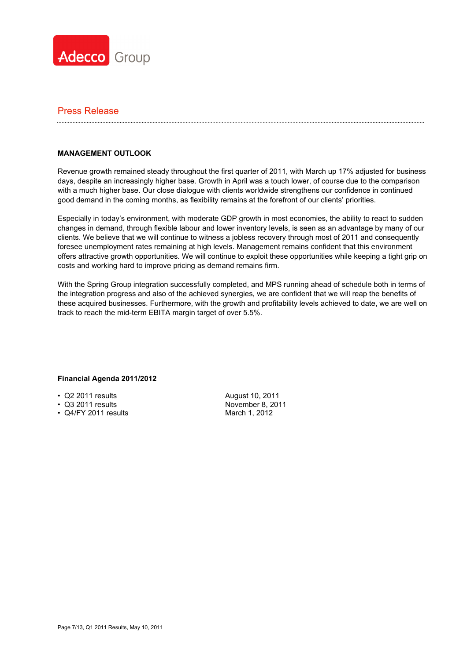

### **MANAGEMENT OUTLOOK**

Revenue growth remained steady throughout the first quarter of 2011, with March up 17% adjusted for business days, despite an increasingly higher base. Growth in April was a touch lower, of course due to the comparison with a much higher base. Our close dialogue with clients worldwide strengthens our confidence in continued good demand in the coming months, as flexibility remains at the forefront of our clients' priorities.

Especially in today's environment, with moderate GDP growth in most economies, the ability to react to sudden changes in demand, through flexible labour and lower inventory levels, is seen as an advantage by many of our clients. We believe that we will continue to witness a jobless recovery through most of 2011 and consequently foresee unemployment rates remaining at high levels. Management remains confident that this environment offers attractive growth opportunities. We will continue to exploit these opportunities while keeping a tight grip on costs and working hard to improve pricing as demand remains firm.

With the Spring Group integration successfully completed, and MPS running ahead of schedule both in terms of the integration progress and also of the achieved synergies, we are confident that we will reap the benefits of these acquired businesses. Furthermore, with the growth and profitability levels achieved to date, we are well on track to reach the mid-term EBITA margin target of over 5.5%.

### **Financial Agenda 2011/2012**

- Q2 2011 results August 10, 2011
- Q3 2011 results
- Q4/FY 2011 results

November 8, 2011 March 1, 2012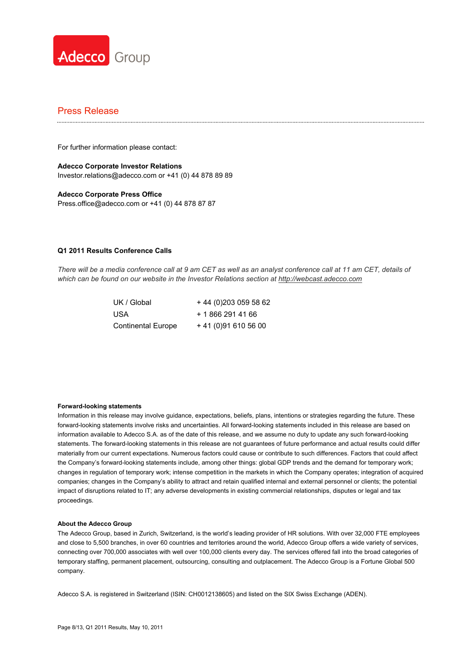

For further information please contact:

**Adecco Corporate Investor Relations**  Investor.relations@adecco.com or +41 (0) 44 878 89 89

**Adecco Corporate Press Office**  Press.office@adecco.com or +41 (0) 44 878 87 87

#### **Q1 2011 Results Conference Calls**

*There will be a media conference call at 9 am CET as well as an analyst conference call at 11 am CET, details of which can be found on our website in the Investor Relations section at http://webcast.adecco.com*

> USA + 1 866 291 41 66 Continental Europe + 41 (0)91 610 56 00

UK / Global + 44 (0) 203 059 58 62

#### **Forward-looking statements**

Information in this release may involve guidance, expectations, beliefs, plans, intentions or strategies regarding the future. These forward-looking statements involve risks and uncertainties. All forward-looking statements included in this release are based on information available to Adecco S.A. as of the date of this release, and we assume no duty to update any such forward-looking statements. The forward-looking statements in this release are not guarantees of future performance and actual results could differ materially from our current expectations. Numerous factors could cause or contribute to such differences. Factors that could affect the Company's forward-looking statements include, among other things: global GDP trends and the demand for temporary work; changes in regulation of temporary work; intense competition in the markets in which the Company operates; integration of acquired companies; changes in the Company's ability to attract and retain qualified internal and external personnel or clients; the potential impact of disruptions related to IT; any adverse developments in existing commercial relationships, disputes or legal and tax proceedings.

#### **About the Adecco Group**

The Adecco Group, based in Zurich, Switzerland, is the world's leading provider of HR solutions. With over 32,000 FTE employees and close to 5,500 branches, in over 60 countries and territories around the world, Adecco Group offers a wide variety of services, connecting over 700,000 associates with well over 100,000 clients every day. The services offered fall into the broad categories of temporary staffing, permanent placement, outsourcing, consulting and outplacement. The Adecco Group is a Fortune Global 500 company.

Adecco S.A. is registered in Switzerland (ISIN: CH0012138605) and listed on the SIX Swiss Exchange (ADEN).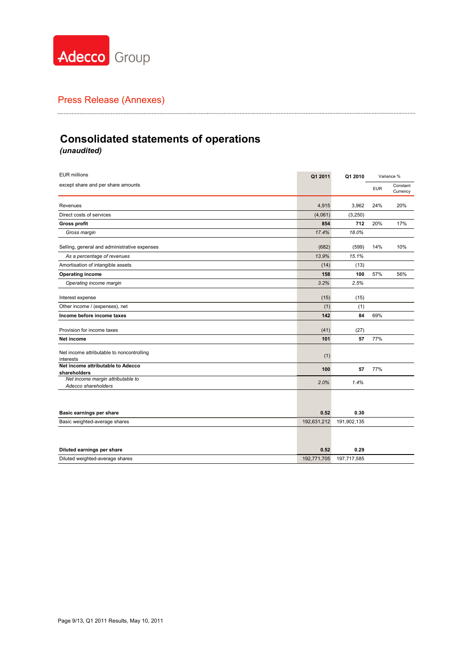

# **Consolidated statements of operations** *(unaudited)*

| <b>EUR millions</b>                                      | Q1 2011     | Q1 2010     | Variance % |                      |
|----------------------------------------------------------|-------------|-------------|------------|----------------------|
| except share and per share amounts                       |             |             | <b>EUR</b> | Constant<br>Currency |
| Revenues                                                 | 4,915       | 3,962       | 24%        | 20%                  |
| Direct costs of services                                 | (4,061)     | (3, 250)    |            |                      |
| <b>Gross profit</b>                                      | 854         | 712         | 20%        | 17%                  |
| Gross margin                                             | 17.4%       | 18.0%       |            |                      |
| Selling, general and administrative expenses             | (682)       | (599)       | 14%        | 10%                  |
| As a percentage of revenues                              | 13.9%       | 15.1%       |            |                      |
| Amortisation of intangible assets                        | (14)        | (13)        |            |                      |
| Operating income                                         | 158         | 100         | 57%        | 56%                  |
| Operating income margin                                  | 3.2%        | 2.5%        |            |                      |
| Interest expense                                         | (15)        | (15)        |            |                      |
| Other income / (expenses), net                           | (1)         | (1)         |            |                      |
| Income before income taxes                               | 142         | 84          | 69%        |                      |
| Provision for income taxes                               | (41)        | (27)        |            |                      |
| Net income                                               | 101         | 57          | 77%        |                      |
| Net income attributable to noncontrolling<br>interests   | (1)         |             |            |                      |
| Net income attributable to Adecco<br>shareholders        | 100         | 57          | 77%        |                      |
| Net income margin attributable to<br>Adecco shareholders | 2.0%        | 1.4%        |            |                      |
|                                                          |             |             |            |                      |
| Basic earnings per share                                 | 0.52        | 0.30        |            |                      |
| Basic weighted-average shares                            | 192,631,212 | 191,902,135 |            |                      |
|                                                          |             |             |            |                      |
| Diluted earnings per share                               | 0.52        | 0.29        |            |                      |
| Diluted weighted-average shares                          | 192,771,705 | 197,717,585 |            |                      |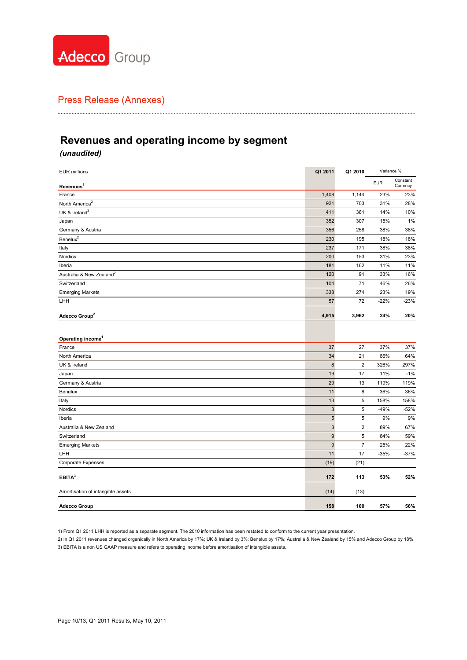

# **Revenues and operating income by segment**

### *(unaudited)*

| Constant<br><b>EUR</b><br>Currency<br>Revenues <sup>1</sup><br>1,408<br>1,144<br>23%<br>France<br>921<br>703<br>31%<br>UK & Ireland <sup>2</sup><br>14%<br>411<br>361<br>352<br>307<br>15%<br>Japan<br>356<br>258<br>38%<br>230<br>195<br>18%<br>237<br>38%<br>Italy<br>171<br>200<br>31%<br>Nordics<br>153<br>181<br>11%<br>Iberia<br>162<br>120<br>33%<br>91<br>104<br>71<br>46%<br>Switzerland<br>274<br>23%<br>338<br><b>Emerging Markets</b><br>57<br>72<br>$-22%$<br>LHH<br>24%<br>4,915<br>3,962<br>Adecco Group <sup>2</sup><br>Operating income <sup>1</sup><br>37<br>27<br>37%<br>France<br>64%<br>34<br>21<br>66%<br>North America<br>$\bf 8$<br>$\overline{\mathbf{c}}$<br>326%<br>297%<br>UK & Ireland<br>19<br>$-1%$<br>17<br>11%<br>Japan<br>Germany & Austria<br>29<br>119%<br>119%<br>13<br>36%<br>11<br>8<br>36%<br>Benelux<br>13<br>5<br>158%<br>158%<br>Italy<br>3<br>5<br>$-49%$<br>$-52%$<br>Nordics<br>5<br>9%<br>5<br>9%<br>Iberia<br>$\sqrt{3}$<br>$\overline{\mathbf{c}}$<br>89%<br>67%<br>Australia & New Zealand<br>9<br>5<br>84%<br>59%<br>Switzerland<br>9<br>$\overline{7}$<br>22%<br><b>Emerging Markets</b><br>25%<br>11<br>17<br>$-35%$<br>$-37%$<br>LHH<br>(19)<br>(21)<br>Corporate Expenses<br>EBITA <sup>3</sup><br>172<br>53%<br>113<br>(14)<br>Amortisation of intangible assets<br>(13)<br>57%<br><b>Adecco Group</b><br>158<br>100 | <b>EUR millions</b> | Q1 2011 | Q1 2010 | Variance % |        |
|------------------------------------------------------------------------------------------------------------------------------------------------------------------------------------------------------------------------------------------------------------------------------------------------------------------------------------------------------------------------------------------------------------------------------------------------------------------------------------------------------------------------------------------------------------------------------------------------------------------------------------------------------------------------------------------------------------------------------------------------------------------------------------------------------------------------------------------------------------------------------------------------------------------------------------------------------------------------------------------------------------------------------------------------------------------------------------------------------------------------------------------------------------------------------------------------------------------------------------------------------------------------------------------------------------------------------------------------------------------------------|---------------------|---------|---------|------------|--------|
| North America <sup>2</sup><br>Germany & Austria<br>Benelux <sup>2</sup><br>Australia & New Zealand <sup>2</sup>                                                                                                                                                                                                                                                                                                                                                                                                                                                                                                                                                                                                                                                                                                                                                                                                                                                                                                                                                                                                                                                                                                                                                                                                                                                              |                     |         |         |            |        |
|                                                                                                                                                                                                                                                                                                                                                                                                                                                                                                                                                                                                                                                                                                                                                                                                                                                                                                                                                                                                                                                                                                                                                                                                                                                                                                                                                                              |                     |         |         |            | 23%    |
|                                                                                                                                                                                                                                                                                                                                                                                                                                                                                                                                                                                                                                                                                                                                                                                                                                                                                                                                                                                                                                                                                                                                                                                                                                                                                                                                                                              |                     |         |         |            | 28%    |
|                                                                                                                                                                                                                                                                                                                                                                                                                                                                                                                                                                                                                                                                                                                                                                                                                                                                                                                                                                                                                                                                                                                                                                                                                                                                                                                                                                              |                     |         |         |            | 10%    |
|                                                                                                                                                                                                                                                                                                                                                                                                                                                                                                                                                                                                                                                                                                                                                                                                                                                                                                                                                                                                                                                                                                                                                                                                                                                                                                                                                                              |                     |         |         |            | 1%     |
|                                                                                                                                                                                                                                                                                                                                                                                                                                                                                                                                                                                                                                                                                                                                                                                                                                                                                                                                                                                                                                                                                                                                                                                                                                                                                                                                                                              |                     |         |         |            | 38%    |
|                                                                                                                                                                                                                                                                                                                                                                                                                                                                                                                                                                                                                                                                                                                                                                                                                                                                                                                                                                                                                                                                                                                                                                                                                                                                                                                                                                              |                     |         |         |            | 18%    |
|                                                                                                                                                                                                                                                                                                                                                                                                                                                                                                                                                                                                                                                                                                                                                                                                                                                                                                                                                                                                                                                                                                                                                                                                                                                                                                                                                                              |                     |         |         |            | 38%    |
|                                                                                                                                                                                                                                                                                                                                                                                                                                                                                                                                                                                                                                                                                                                                                                                                                                                                                                                                                                                                                                                                                                                                                                                                                                                                                                                                                                              |                     |         |         |            | 23%    |
|                                                                                                                                                                                                                                                                                                                                                                                                                                                                                                                                                                                                                                                                                                                                                                                                                                                                                                                                                                                                                                                                                                                                                                                                                                                                                                                                                                              |                     |         |         |            | 11%    |
|                                                                                                                                                                                                                                                                                                                                                                                                                                                                                                                                                                                                                                                                                                                                                                                                                                                                                                                                                                                                                                                                                                                                                                                                                                                                                                                                                                              |                     |         |         |            | 16%    |
|                                                                                                                                                                                                                                                                                                                                                                                                                                                                                                                                                                                                                                                                                                                                                                                                                                                                                                                                                                                                                                                                                                                                                                                                                                                                                                                                                                              |                     |         |         |            | 26%    |
|                                                                                                                                                                                                                                                                                                                                                                                                                                                                                                                                                                                                                                                                                                                                                                                                                                                                                                                                                                                                                                                                                                                                                                                                                                                                                                                                                                              |                     |         |         |            | 19%    |
|                                                                                                                                                                                                                                                                                                                                                                                                                                                                                                                                                                                                                                                                                                                                                                                                                                                                                                                                                                                                                                                                                                                                                                                                                                                                                                                                                                              |                     |         |         |            | $-23%$ |
|                                                                                                                                                                                                                                                                                                                                                                                                                                                                                                                                                                                                                                                                                                                                                                                                                                                                                                                                                                                                                                                                                                                                                                                                                                                                                                                                                                              |                     |         |         |            | 20%    |
|                                                                                                                                                                                                                                                                                                                                                                                                                                                                                                                                                                                                                                                                                                                                                                                                                                                                                                                                                                                                                                                                                                                                                                                                                                                                                                                                                                              |                     |         |         |            | 37%    |
|                                                                                                                                                                                                                                                                                                                                                                                                                                                                                                                                                                                                                                                                                                                                                                                                                                                                                                                                                                                                                                                                                                                                                                                                                                                                                                                                                                              |                     |         |         |            |        |
|                                                                                                                                                                                                                                                                                                                                                                                                                                                                                                                                                                                                                                                                                                                                                                                                                                                                                                                                                                                                                                                                                                                                                                                                                                                                                                                                                                              |                     |         |         |            |        |
|                                                                                                                                                                                                                                                                                                                                                                                                                                                                                                                                                                                                                                                                                                                                                                                                                                                                                                                                                                                                                                                                                                                                                                                                                                                                                                                                                                              |                     |         |         |            |        |
|                                                                                                                                                                                                                                                                                                                                                                                                                                                                                                                                                                                                                                                                                                                                                                                                                                                                                                                                                                                                                                                                                                                                                                                                                                                                                                                                                                              |                     |         |         |            |        |
|                                                                                                                                                                                                                                                                                                                                                                                                                                                                                                                                                                                                                                                                                                                                                                                                                                                                                                                                                                                                                                                                                                                                                                                                                                                                                                                                                                              |                     |         |         |            |        |
|                                                                                                                                                                                                                                                                                                                                                                                                                                                                                                                                                                                                                                                                                                                                                                                                                                                                                                                                                                                                                                                                                                                                                                                                                                                                                                                                                                              |                     |         |         |            |        |
|                                                                                                                                                                                                                                                                                                                                                                                                                                                                                                                                                                                                                                                                                                                                                                                                                                                                                                                                                                                                                                                                                                                                                                                                                                                                                                                                                                              |                     |         |         |            |        |
|                                                                                                                                                                                                                                                                                                                                                                                                                                                                                                                                                                                                                                                                                                                                                                                                                                                                                                                                                                                                                                                                                                                                                                                                                                                                                                                                                                              |                     |         |         |            |        |
|                                                                                                                                                                                                                                                                                                                                                                                                                                                                                                                                                                                                                                                                                                                                                                                                                                                                                                                                                                                                                                                                                                                                                                                                                                                                                                                                                                              |                     |         |         |            |        |
|                                                                                                                                                                                                                                                                                                                                                                                                                                                                                                                                                                                                                                                                                                                                                                                                                                                                                                                                                                                                                                                                                                                                                                                                                                                                                                                                                                              |                     |         |         |            |        |
|                                                                                                                                                                                                                                                                                                                                                                                                                                                                                                                                                                                                                                                                                                                                                                                                                                                                                                                                                                                                                                                                                                                                                                                                                                                                                                                                                                              |                     |         |         |            |        |
|                                                                                                                                                                                                                                                                                                                                                                                                                                                                                                                                                                                                                                                                                                                                                                                                                                                                                                                                                                                                                                                                                                                                                                                                                                                                                                                                                                              |                     |         |         |            |        |
|                                                                                                                                                                                                                                                                                                                                                                                                                                                                                                                                                                                                                                                                                                                                                                                                                                                                                                                                                                                                                                                                                                                                                                                                                                                                                                                                                                              |                     |         |         |            |        |
|                                                                                                                                                                                                                                                                                                                                                                                                                                                                                                                                                                                                                                                                                                                                                                                                                                                                                                                                                                                                                                                                                                                                                                                                                                                                                                                                                                              |                     |         |         |            |        |
|                                                                                                                                                                                                                                                                                                                                                                                                                                                                                                                                                                                                                                                                                                                                                                                                                                                                                                                                                                                                                                                                                                                                                                                                                                                                                                                                                                              |                     |         |         |            | 52%    |
|                                                                                                                                                                                                                                                                                                                                                                                                                                                                                                                                                                                                                                                                                                                                                                                                                                                                                                                                                                                                                                                                                                                                                                                                                                                                                                                                                                              |                     |         |         |            |        |
|                                                                                                                                                                                                                                                                                                                                                                                                                                                                                                                                                                                                                                                                                                                                                                                                                                                                                                                                                                                                                                                                                                                                                                                                                                                                                                                                                                              |                     |         |         |            | 56%    |

1) From Q1 2011 LHH is reported as a separate segment. The 2010 information has been restated to conform to the current year presentation.

2) In Q1 2011 revenues changed organically in North America by 17%; UK & Ireland by 3%; Benelux by 17%; Australia & New Zealand by 15% and Adecco Group by 18%. 3) EBITA is a non US GAAP measure and refers to operating income before amortisation of intangible assets.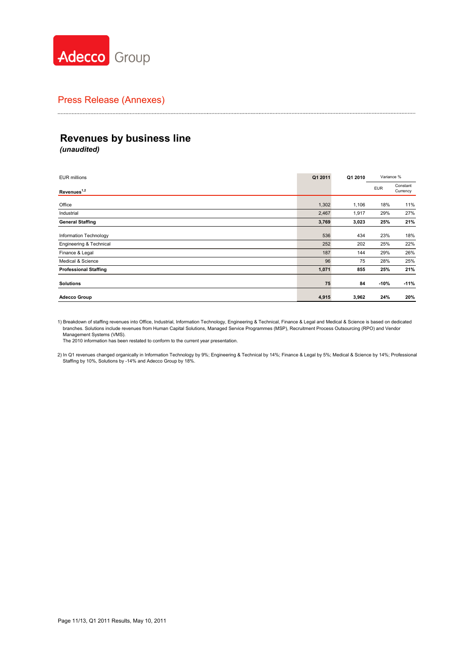

# **Revenues by business line**

*(unaudited)*

| <b>EUR millions</b>          | Q1 2011 | Q1 2010 | Variance % |                      |
|------------------------------|---------|---------|------------|----------------------|
| Revenues <sup>1,2</sup>      |         |         | <b>EUR</b> | Constant<br>Currency |
| Office                       | 1,302   | 1,106   | 18%        | 11%                  |
| Industrial                   | 2,467   | 1,917   | 29%        | 27%                  |
| <b>General Staffing</b>      | 3,769   | 3,023   | 25%        | 21%                  |
| Information Technology       | 536     | 434     | 23%        | 18%                  |
| Engineering & Technical      | 252     | 202     | 25%        | 22%                  |
| Finance & Legal              | 187     | 144     | 29%        | 26%                  |
| Medical & Science            | 96      | 75      | 28%        | 25%                  |
| <b>Professional Staffing</b> | 1,071   | 855     | 25%        | 21%                  |
| <b>Solutions</b>             | 75      | 84      | $-10%$     | $-11%$               |
| <b>Adecco Group</b>          | 4,915   | 3,962   | 24%        | 20%                  |

1) Breakdown of staffing revenues into Office, Industrial, Information Technology, Engineering & Technical, Finance & Legal and Medical & Science is based on dedicated<br>branches. Solutions include revenues from Human Capita Management Systems (VMS).

The 2010 information has been restated to conform to the current year presentation.

2) In Q1 revenues changed organically in Information Technology by 9%; Engineering & Technical by 14%; Finance & Legal by 5%; Medical & Science by 14%; Professional<br>Staffing by 10%, Solutions by -14% and Adecco Group by 18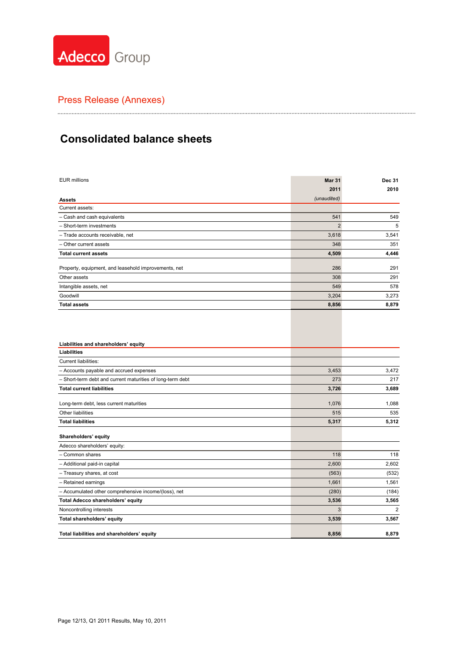

# **Consolidated balance sheets**

| <b>EUR millions</b>                                        | <b>Mar 31</b>  | <b>Dec 31</b> |
|------------------------------------------------------------|----------------|---------------|
|                                                            | 2011           | 2010          |
| <b>Assets</b>                                              | (unaudited)    |               |
| Current assets:                                            |                |               |
| - Cash and cash equivalents                                | 541            | 549           |
| - Short-term investments                                   | $\overline{2}$ | 5             |
| - Trade accounts receivable, net                           | 3,618          | 3,541         |
| - Other current assets                                     | 348            | 351           |
| <b>Total current assets</b>                                | 4,509          | 4,446         |
| Property, equipment, and leasehold improvements, net       | 286            | 291           |
| Other assets                                               | 308            | 291           |
| Intangible assets, net                                     | 549            | 578           |
| Goodwill                                                   | 3,204          | 3,273         |
| <b>Total assets</b>                                        | 8,856          | 8,879         |
| Liabilities and shareholders' equity                       |                |               |
| Liabilities                                                |                |               |
| <b>Current liabilities:</b>                                |                |               |
| - Accounts payable and accrued expenses                    | 3,453          | 3,472         |
| - Short-term debt and current maturities of long-term debt | 273            | 217           |
| <b>Total current liabilities</b>                           | 3,726          | 3,689         |
| Long-term debt, less current maturities                    | 1,076          | 1,088         |
| Other liabilities                                          | 515            | 535           |
| <b>Total liabilities</b>                                   | 5,317          | 5,312         |
| Shareholders' equity                                       |                |               |
| Adecco shareholders' equity:                               |                |               |
| - Common shares                                            | 118            | 118           |
| - Additional paid-in capital                               | 2,600          | 2,602         |
| - Treasury shares, at cost                                 | (563)          | (532)         |
| - Retained earnings                                        | 1,661          | 1,561         |
| - Accumulated other comprehensive income/(loss), net       | (280)          | (184)         |
| Total Adecco shareholders' equity                          | 3,536          | 3,565         |
| Noncontrolling interests                                   | 3              | 2             |
| Total shareholders' equity                                 | 3,539          | 3,567         |
| Total liabilities and shareholders' equity                 | 8,856          | 8,879         |